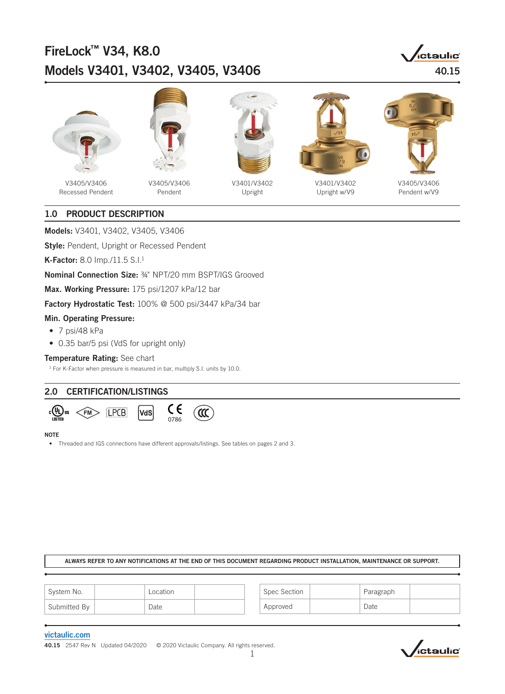# FireLock™ V34, K8.0 Models V3401, V3402, V3405, V3406 **Models V3401, V3402**, V3405, V3406







V3405/V3406 Recessed Pendent

V3405/V3406 Pendent



V3401/V3402 Upright



V3401/V3402 Upright w/V9



V3405/V3406 Pendent w/V9

# 1.0 PRODUCT DESCRIPTION

Models: V3401, V3402, V3405, V3406

**Style: Pendent, Upright or Recessed Pendent** 

K-Factor: 8.0 Imp./11.5 S.I.1

Nominal Connection Size: ¾" NPT/20 mm BSPT/IGS Grooved

Max. Working Pressure: 175 psi/1207 kPa/12 bar

Factory Hydrostatic Test: 100% @ 500 psi/3447 kPa/34 bar

### Min. Operating Pressure:

- 7 psi/48 kPa
- 0.35 bar/5 psi (VdS for upright only)

### Temperature Rating: See chart

<sup>1</sup> For K-Factor when pressure is measured in bar, multiply S.I. units by 10.0.

# 2.0 CERTIFICATION/LISTINGS



#### NOTE

• Threaded and IGS connections have different approvals/listings. See tables on pages 2 and 3.

### ALWAYS REFER TO ANY NOTIFICATIONS AT THE END OF THIS DOCUMENT REGARDING PRODUCT INSTALLATION, MAINTENANCE OR SUPPORT.

| System No.   | Location | Spec Section | Paragraph |  |
|--------------|----------|--------------|-----------|--|
| Submitted By | Date     | Approved     | Date      |  |

### [victaulic.com](https://www.victaulic.com/)

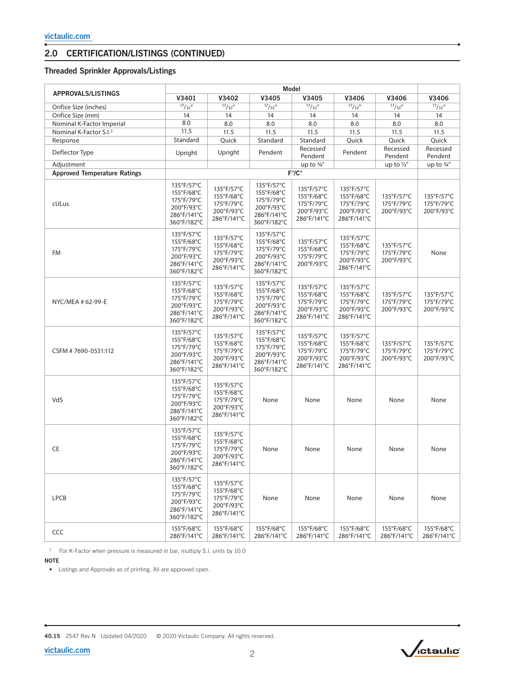# 2.0 CERTIFICATION/LISTINGS (CONTINUED)

# Threaded Sprinkler Approvals/Listings

|                                     | <b>Model</b>                                                                       |                                                                     |                                                                                    |                                                                     |                                                                     |                                        |                                        |
|-------------------------------------|------------------------------------------------------------------------------------|---------------------------------------------------------------------|------------------------------------------------------------------------------------|---------------------------------------------------------------------|---------------------------------------------------------------------|----------------------------------------|----------------------------------------|
| <b>APPROVALS/LISTINGS</b>           | V3401                                                                              | V3402                                                               | V3405                                                                              | V3405                                                               | V3406                                                               | V3406                                  | V3406                                  |
| Orifice Size (inches)               | $\frac{17}{32}$ "                                                                  | 17/32''                                                             | $\frac{17}{32}$                                                                    | $\frac{17}{32}$                                                     | $\frac{17}{32}$                                                     | $\frac{17}{32}$ "                      | 17/32''                                |
| Orifice Size (mm)                   | 14                                                                                 | 14                                                                  | 14                                                                                 | 14                                                                  | 14                                                                  | 14                                     | 14                                     |
| Nominal K-Factor Imperial           | 8.0                                                                                | 8.0                                                                 | 8.0                                                                                | 8.0                                                                 | 8.0                                                                 | 8.0                                    | 8.0                                    |
| Nominal K-Factor S.I. <sup>2</sup>  | 11.5                                                                               | 11.5                                                                | 11.5                                                                               | 11.5                                                                | 11.5                                                                | 11.5                                   | 11.5                                   |
| Response                            | Standard                                                                           | Quick                                                               | Standard                                                                           | Standard                                                            | Quick                                                               | Quick                                  | Ouick                                  |
| Deflector Type                      | Upright                                                                            | Upright                                                             | Pendent                                                                            | Recessed<br>Pendent                                                 | Pendent                                                             | Recessed<br>Pendent                    | Recessed<br>Pendent                    |
| Adjustment                          |                                                                                    |                                                                     |                                                                                    | up to $\frac{3}{4}$ "                                               |                                                                     | up to $\frac{1}{2}$                    | up to $\frac{3}{4}$ "                  |
| <b>Approved Temperature Ratings</b> |                                                                                    |                                                                     |                                                                                    | $F^{\circ}/C^{\circ}$                                               |                                                                     |                                        |                                        |
| cULus                               | 135°F/57°C<br>155°F/68°C<br>175°F/79°C<br>200°F/93°C<br>286°F/141°C<br>360°F/182°C | 135°F/57°C<br>155°F/68°C<br>175°F/79°C<br>200°F/93°C<br>286°F/141°C | 135°F/57°C<br>155°F/68°C<br>175°F/79°C<br>200°F/93°C<br>286°F/141°C<br>360°F/182°C | 135°F/57°C<br>155°F/68°C<br>175°F/79°C<br>200°F/93°C<br>286°F/141°C | 135°F/57°C<br>155°F/68°C<br>175°F/79°C<br>200°F/93°C<br>286°F/141°C | 135°F/57°C<br>175°F/79°C<br>200°F/93°C | 135°F/57°C<br>175°F/79°C<br>200°F/93°C |
| FM                                  | 135°F/57°C<br>155°F/68°C<br>175°F/79°C<br>200°F/93°C<br>286°F/141°C<br>360°F/182°C | 135°F/57°C<br>155°F/68°C<br>175°F/79°C<br>200°F/93°C<br>286°F/141°C | 135°F/57°C<br>155°F/68°C<br>175°F/79°C<br>200°F/93°C<br>286°F/141°C<br>360°F/182°C | 135°F/57°C<br>155°F/68°C<br>175°F/79°C<br>200°F/93°C                | 135°F/57°C<br>155°F/68°C<br>175°F/79°C<br>200°F/93°C<br>286°F/141°C | 135°F/57°C<br>175°F/79°C<br>200°F/93°C | None                                   |
| NYC/MEA # 62-99-E                   | 135°F/57°C<br>155°F/68°C<br>175°F/79°C<br>200°F/93°C<br>286°F/141°C<br>360°F/182°C | 135°F/57°C<br>155°F/68°C<br>175°F/79°C<br>200°F/93°C<br>286°F/141°C | 135°F/57°C<br>155°F/68°C<br>175°F/79°C<br>200°F/93°C<br>286°F/141°C<br>360°F/182°C | 135°F/57°C<br>155°F/68°C<br>175°F/79°C<br>200°F/93°C<br>286°F/141°C | 135°F/57°C<br>155°F/68°C<br>175°F/79°C<br>200°F/93°C<br>286°F/141°C | 135°F/57°C<br>175°F/79°C<br>200°F/93°C | 135°F/57°C<br>175°F/79°C<br>200°F/93°C |
| CSFM #7690-0531:112                 | 135°F/57°C<br>155°F/68°C<br>175°F/79°C<br>200°F/93°C<br>286°F/141°C<br>360°F/182°C | 135°F/57°C<br>155°F/68°C<br>175°F/79°C<br>200°F/93°C<br>286°F/141°C | 135°F/57°C<br>155°F/68°C<br>175°F/79°C<br>200°F/93°C<br>286°F/141°C<br>360°F/182°C | 135°F/57°C<br>155°F/68°C<br>175°F/79°C<br>200°F/93°C<br>286°F/141°C | 135°F/57°C<br>155°F/68°C<br>175°F/79°C<br>200°F/93°C<br>286°F/141°C | 135°F/57°C<br>175°F/79°C<br>200°F/93°C | 135°F/57°C<br>175°F/79°C<br>200°F/93°C |
| VdS                                 | 135°F/57°C<br>155°F/68°C<br>175°F/79°C<br>200°F/93°C<br>286°F/141°C<br>360°F/182°C | 135°F/57°C<br>155°F/68°C<br>175°F/79°C<br>200°F/93°C<br>286°F/141°C | None                                                                               | None                                                                | None                                                                | None                                   | None                                   |
| CE                                  | 135°F/57°C<br>155°F/68°C<br>175°F/79°C<br>200°F/93°C<br>286°F/141°C<br>360°F/182°C | 135°F/57°C<br>155°F/68°C<br>175°F/79°C<br>200°F/93°C<br>286°F/141°C | None                                                                               | None                                                                | None                                                                | None                                   | None                                   |
| <b>LPCB</b>                         | 135°F/57°C<br>155°F/68°C<br>175°F/79°C<br>200°F/93°C<br>286°F/141°C<br>360°F/182°C | 135°F/57°C<br>155°F/68°C<br>175°F/79°C<br>200°F/93°C<br>286°F/141°C | None                                                                               | None                                                                | None                                                                | None                                   | None                                   |
| CCC                                 | 155°F/68°C<br>286°F/141°C                                                          | 155°F/68°C<br>286°F/141°C                                           | 155°F/68°C<br>286°F/141°C                                                          | 155°F/68°C<br>286°F/141°C                                           | 155°F/68°C<br>286°F/141°C                                           | 155°F/68°C<br>286°F/141°C              | 155°F/68°C<br>286°F/141°C              |

<sup>2</sup> For K-Factor when pressure is measured in bar, multiply S.I. units by 10.0

NOTE

• Listings and Approvals as of printing. All are approved open.

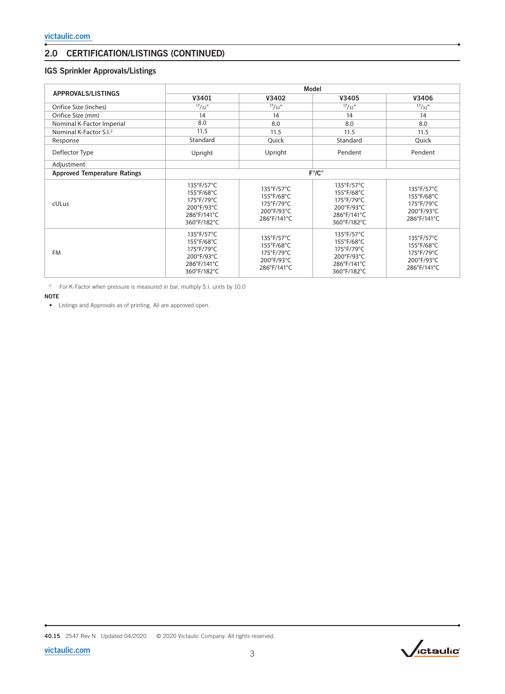# 2.0 CERTIFICATION/LISTINGS (CONTINUED)

# IGS Sprinkler Approvals/Listings

|                                     | <b>Model</b>                                                                       |                                                                     |                                                                                    |                                                                     |  |  |
|-------------------------------------|------------------------------------------------------------------------------------|---------------------------------------------------------------------|------------------------------------------------------------------------------------|---------------------------------------------------------------------|--|--|
| <b>APPROVALS/LISTINGS</b>           | V3401                                                                              | V3402                                                               | V3405                                                                              | V3406                                                               |  |  |
| Orifice Size (inches)               | $\frac{17}{32}$                                                                    | 17/32''                                                             | $\frac{17}{32}$                                                                    | $\frac{17}{32}$                                                     |  |  |
| Orifice Size (mm)                   | 14                                                                                 | 14                                                                  | 14                                                                                 | 14                                                                  |  |  |
| Nominal K-Factor Imperial           | 8.0                                                                                | 8.0                                                                 | 8.0                                                                                | 8.0                                                                 |  |  |
| Nominal K-Factor S.I. <sup>2</sup>  | 11.5                                                                               | 11.5                                                                | 11.5                                                                               | 11.5                                                                |  |  |
| Response                            | Standard                                                                           | Quick                                                               | Standard                                                                           | Quick                                                               |  |  |
| Deflector Type                      | Upright                                                                            | Upright                                                             | Pendent                                                                            | Pendent                                                             |  |  |
| Adjustment                          |                                                                                    |                                                                     |                                                                                    |                                                                     |  |  |
| <b>Approved Temperature Ratings</b> | $F^{\circ}/C^{\circ}$                                                              |                                                                     |                                                                                    |                                                                     |  |  |
| cULus                               | 135°F/57°C<br>155°F/68°C<br>175°F/79°C<br>200°F/93°C<br>286°F/141°C<br>360°F/182°C | 135°F/57°C<br>155°F/68°C<br>175°F/79°C<br>200°F/93°C<br>286°F/141°C | 135°F/57°C<br>155°F/68°C<br>175°F/79°C<br>200°F/93°C<br>286°F/141°C<br>360°F/182°C | 135°F/57°C<br>155°F/68°C<br>175°F/79°C<br>200°F/93°C<br>286°F/141°C |  |  |
| <b>FM</b>                           | 135°F/57°C<br>155°F/68°C<br>175°F/79°C<br>200°F/93°C<br>286°F/141°C<br>360°F/182°C | 135°F/57°C<br>155°F/68°C<br>175°F/79°C<br>200°F/93°C<br>286°F/141°C | 135°F/57°C<br>155°F/68°C<br>175°F/79°C<br>200°F/93°C<br>286°F/141°C<br>360°F/182°C | 135°F/57°C<br>155°F/68°C<br>175°F/79°C<br>200°F/93°C<br>286°F/141°C |  |  |

2 For K-Factor when pressure is measured in bar, multiply S.I. units by 10.0

#### NOTE

• Listings and Approvals as of printing. All are approved open.



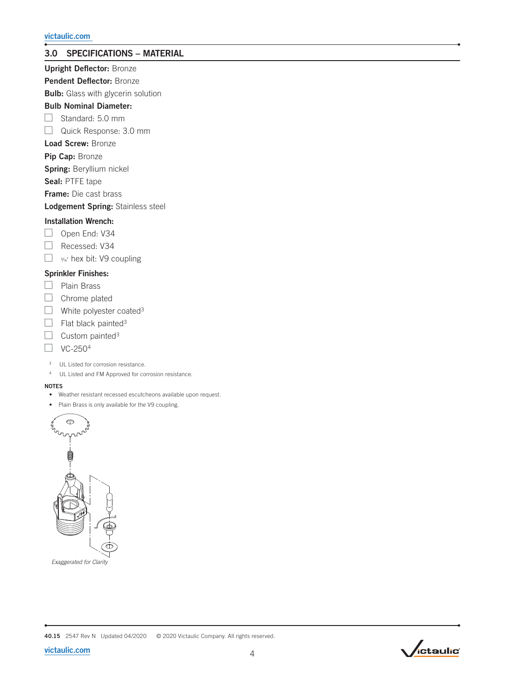# 3.0 SPECIFICATIONS – MATERIAL

# Upright Deflector: Bronze

Pendent Deflector: Bronze

**Bulb:** Glass with glycerin solution

# Bulb Nominal Diameter:

 $\Box$  Standard: 5.0 mm

Quick Response: 3.0 mm

# Load Screw: Bronze

Pip Cap: Bronze

Spring: Beryllium nickel

Seal: PTFE tape

Frame: Die cast brass

Lodgement Spring: Stainless steel

## Installation Wrench:

- $\Box$  Open End: V34
- Recessed: V34
- <sup>3</sup>∕16" hex bit: V9 coupling

### Sprinkler Finishes:

- $\Box$  Plain Brass
- $\Box$  Chrome plated
- $\Box$  White polyester coated<sup>3</sup>
- $\Box$  Flat black painted<sup>3</sup>
- Custom painted<sup>3</sup>
- VC-2504
- 3 UL Listed for corrosion resistance.
- 4 UL Listed and FM Approved for corrosion resistance.

### NOTES

- Weather resistant recessed escutcheons available upon request.
- Plain Brass is only available for the V9 coupling.



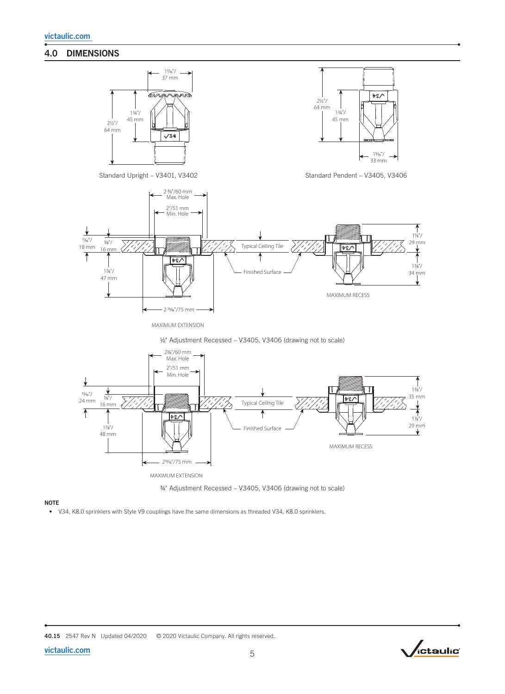# 4.0 DIMENSIONS









# **NOTE**

• V34, K8.0 sprinklers with Style V9 couplings have the same dimensions as threaded V34, K8.0 sprinklers.



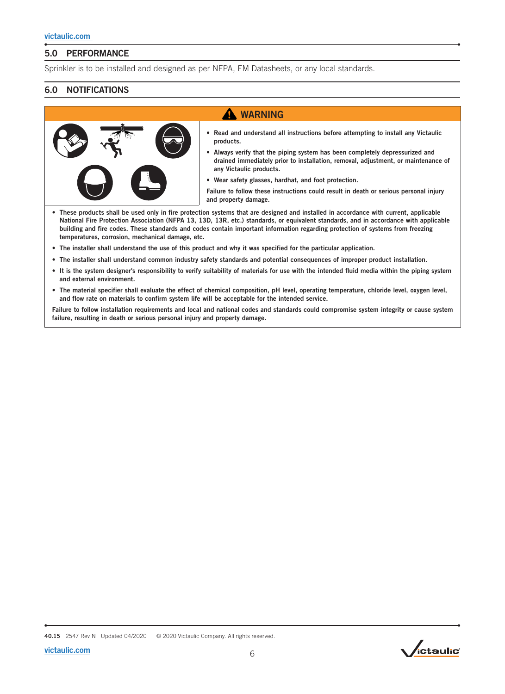# 5.0 PERFORMANCE

Sprinkler is to be installed and designed as per NFPA, FM Datasheets, or any local standards.

# 6.0 NOTIFICATIONS

# **A** WARNING



- Read and understand all instructions before attempting to install any Victaulic products.
- Always verify that the piping system has been completely depressurized and drained immediately prior to installation, removal, adjustment, or maintenance of any Victaulic products.
- Wear safety glasses, hardhat, and foot protection.

Failure to follow these instructions could result in death or serious personal injury and property damage.

- These products shall be used only in fire protection systems that are designed and installed in accordance with current, applicable National Fire Protection Association (NFPA 13, 13D, 13R, etc.) standards, or equivalent standards, and in accordance with applicable building and fire codes. These standards and codes contain important information regarding protection of systems from freezing temperatures, corrosion, mechanical damage, etc.
- The installer shall understand the use of this product and why it was specified for the particular application.
- The installer shall understand common industry safety standards and potential consequences of improper product installation.
- It is the system designer's responsibility to verify suitability of materials for use with the intended fluid media within the piping system and external environment.
- The material specifier shall evaluate the effect of chemical composition, pH level, operating temperature, chloride level, oxygen level, and flow rate on materials to confirm system life will be acceptable for the intended service.

Failure to follow installation requirements and local and national codes and standards could compromise system integrity or cause system failure, resulting in death or serious personal injury and property damage.